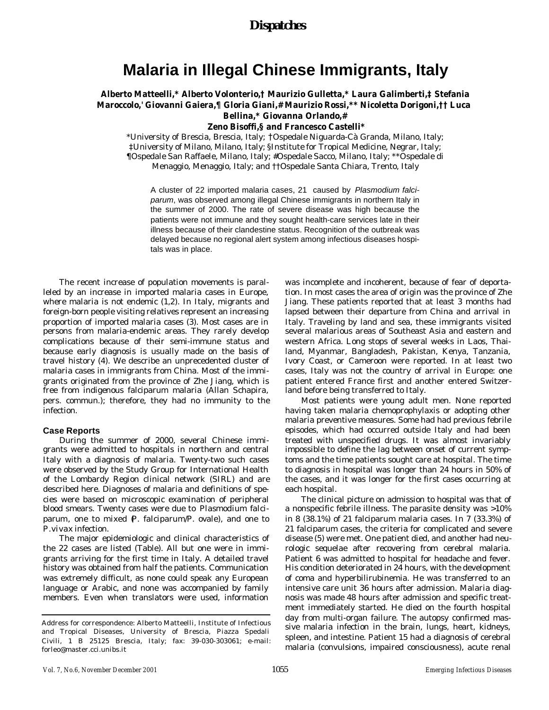# **Malaria in Illegal Chinese Immigrants, Italy**

#### **Alberto Matteelli,\* Alberto Volonterio,† Maurizio Gulletta,\* Laura Galimberti,‡ Stefania Maroccolo,' Giovanni Gaiera,¶ Gloria Giani,# Maurizio Rossi,\*\* Nicoletta Dorigoni,†† Luca Bellina,\* Giovanna Orlando,# Zeno Bisoffi,§ and Francesco Castelli\***

\*University of Brescia, Brescia, Italy; †Ospedale Niguarda-Cà Granda, Milano, Italy; ‡University of Milano, Milano, Italy; §Institute for Tropical Medicine, Negrar, Italy;

¶Ospedale San Raffaele, Milano, Italy; #Ospedale Sacco, Milano, Italy; \*\*Ospedale di

Menaggio, Menaggio, Italy; and ††Ospedale Santa Chiara, Trento, Italy

A cluster of 22 imported malaria cases, 21 caused by *Plasmodium falciparum*, was observed among illegal Chinese immigrants in northern Italy in the summer of 2000. The rate of severe disease was high because the patients were not immune and they sought health-care services late in their illness because of their clandestine status. Recognition of the outbreak was delayed because no regional alert system among infectious diseases hospitals was in place.

The recent increase of population movements is paralleled by an increase in imported malaria cases in Europe, where malaria is not endemic (1,2). In Italy, migrants and foreign-born people visiting relatives represent an increasing proportion of imported malaria cases (3). Most cases are in persons from malaria-endemic areas. They rarely develop complications because of their semi-immune status and because early diagnosis is usually made on the basis of travel history (4). We describe an unprecedented cluster of malaria cases in immigrants from China. Most of the immigrants originated from the province of Zhe Jiang, which is free from indigenous falciparum malaria (Allan Schapira, pers. commun.); therefore, they had no immunity to the infection.

#### **Case Reports**

During the summer of 2000, several Chinese immigrants were admitted to hospitals in northern and central Italy with a diagnosis of malaria. Twenty-two such cases were observed by the Study Group for International Health of the Lombardy Region clinical network (SIRL) and are described here. Diagnoses of malaria and definitions of species were based on microscopic examination of peripheral blood smears. Twenty cases were due to *Plasmodium falciparum*, one to mixed (*P. falciparum*/*P. ovale*), and one to *P.vivax* infection.

The major epidemiologic and clinical characteristics of the 22 cases are listed (Table). All but one were in immigrants arriving for the first time in Italy. A detailed travel history was obtained from half the patients. Communication was extremely difficult, as none could speak any European language or Arabic, and none was accompanied by family members. Even when translators were used, information

was incomplete and incoherent, because of fear of deportation. In most cases the area of origin was the province of Zhe Jiang. These patients reported that at least 3 months had lapsed between their departure from China and arrival in Italy. Traveling by land and sea, these immigrants visited several malarious areas of Southeast Asia and eastern and western Africa. Long stops of several weeks in Laos, Thailand, Myanmar, Bangladesh, Pakistan, Kenya, Tanzania, Ivory Coast, or Cameroon were reported. In at least two cases, Italy was not the country of arrival in Europe: one patient entered France first and another entered Switzerland before being transferred to Italy.

Most patients were young adult men. None reported having taken malaria chemoprophylaxis or adopting other malaria preventive measures. Some had had previous febrile episodes, which had occurred outside Italy and had been treated with unspecified drugs. It was almost invariably impossible to define the lag between onset of current symptoms and the time patients sought care at hospital. The time to diagnosis in hospital was longer than 24 hours in 50% of the cases, and it was longer for the first cases occurring at each hospital.

The clinical picture on admission to hospital was that of a nonspecific febrile illness. The parasite density was >10% in 8 (38.1%) of 21 falciparum malaria cases. In 7 (33.3%) of 21 falciparum cases, the criteria for complicated and severe disease (5) were met. One patient died, and another had neurologic sequelae after recovering from cerebral malaria. Patient 6 was admitted to hospital for headache and fever. His condition deteriorated in 24 hours, with the development of coma and hyperbilirubinemia. He was transferred to an intensive care unit 36 hours after admission. Malaria diagnosis was made 48 hours after admission and specific treatment immediately started. He died on the fourth hospital day from multi-organ failure. The autopsy confirmed massive malaria infection in the brain, lungs, heart, kidneys, spleen, and intestine. Patient 15 had a diagnosis of cerebral malaria (convulsions, impaired consciousness), acute renal

Address for correspondence: Alberto Matteelli, Institute of Infectious and Tropical Diseases, University of Brescia, Piazza Spedali Civili, 1 B 25125 Brescia, Italy; fax: 39-030-303061; e-mail: forleo@master.cci.unibs.it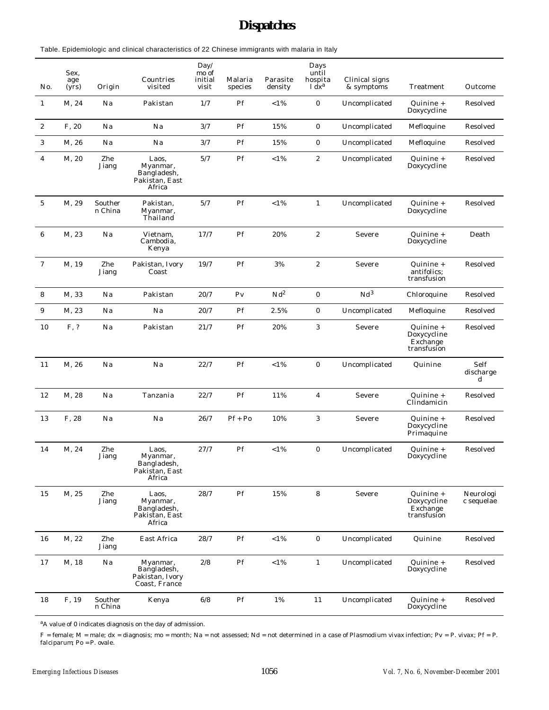## *Dispatches*

Table. Epidemiologic and clinical characteristics of 22 Chinese immigrants with malaria in Italy

| No.              | Sex,<br>age<br>(yrs) | Origin             | Countries<br>visited                                         | Day/<br>mo of<br>initial<br>visit | Malaria<br>species       | Parasite<br>density | Days<br>until<br>hospita<br>$1 dx^a$ | Clinical signs<br>& symptoms | Treatment                                             | Outcome                 |
|------------------|----------------------|--------------------|--------------------------------------------------------------|-----------------------------------|--------------------------|---------------------|--------------------------------------|------------------------------|-------------------------------------------------------|-------------------------|
| $\mathbf{1}$     | M, 24                | Na                 | Pakistan                                                     | 1/7                               | Pf                       | $< 1\%$             | $\mathbf{O}$                         | Uncomplicated                | Quinine +<br>Doxycycline                              | Resolved                |
| $\mathbf{2}$     | F, 20                | Na                 | Na                                                           | 3/7                               | Pf                       | 15%                 | $\mathcal{O}$                        | Uncomplicated                | Mefloquine                                            | Resolved                |
| 3                | M, 26                | Na                 | Na                                                           | 3/7                               | Pf                       | 15%                 | $\overline{0}$                       | Uncomplicated                | Mefloquine                                            | Resolved                |
| 4                | M, 20                | Zhe<br>Jiang       | Laos,<br>Myanmar,<br>Bangladesh,<br>Pakistan, East<br>Africa | 5/7                               | $\rm Pf$                 | $<1\,\%$            | $\overline{c}$                       | Uncomplicated                | Quinine +<br>Doxycycline                              | Resolved                |
| $\mathbf 5$      | M, 29                | Souther<br>n China | Pakistan,<br>Myanmar,<br>Thailand                            | 5/7                               | $\rm Pf$                 | $<1\,\%$            | $\mathbf{1}$                         | Uncomplicated                | Quinine +<br>Doxycycline                              | Resolved                |
| 6                | M, 23                | Na                 | Vietnam,<br>Cambodia,<br>Kenya                               | 17/7                              | Pf                       | 20%                 | $\overline{c}$                       | Severe                       | Quinine +<br>Doxycycline                              | Death                   |
| $\boldsymbol{7}$ | M, 19                | Zhe<br>Jiang       | Pakistan, Ivory<br>Coast                                     | 19/7                              | Pf                       | 3%                  | $\mathbf{2}$                         | Severe                       | Quinine +<br>antifolics:<br>transfusion               | Resolved                |
| 8                | M, 33                | Na                 | Pakistan                                                     | 20/7                              | ${\rm Pv}$               | $\rm Nd^2$          | $\mathbf 0$                          | Nd <sup>3</sup>              | Chloroquine                                           | Resolved                |
| 9                | M, 23                | Na                 | Na                                                           | 20/7                              | $\rm Pf$                 | 2.5%                | $\mathbf{O}$                         | Uncomplicated                | Mefloquine                                            | Resolved                |
| 10               | F, ?                 | Na                 | Pakistan                                                     | 21/7                              | $\rm Pf$                 | 20%                 | 3                                    | Severe                       | Quinine +<br>Doxycycline<br>Exchange<br>transfusion   | Resolved                |
| 11               | M, 26                | Na                 | Na                                                           | 22/7                              | Pf                       | $< 1\%$             | $\mathbf 0$                          | Uncomplicated                | Quinine                                               | Self<br>discharge<br>d  |
| 12               | M, 28                | Na                 | Tanzania                                                     | 22/7                              | Pf                       | 11%                 | 4                                    | Severe                       | Quinine +<br>Clindamicin                              | Resolved                |
| 13               | F, 28                | Na                 | Na                                                           | 26/7                              | $Pf + Po$                | 10%                 | 3                                    | Severe                       | Quinine +<br>Doxycycline<br>Primaquine                | Resolved                |
| 14               | M, 24                | Zhe<br>Jiang       | Laos,<br>Myanmar,<br>Bangladesh,<br>Pakistan, East<br>Africa | 27/7                              | Pf                       | $< 1\%$             | $\mathcal{O}$                        | Uncomplicated                | Quinine +<br>Doxycycline                              | Resolved                |
| 15               | M, 25                | Zhe<br>Jiang       | Laos.<br>Myanmar,<br>Bangladesh,<br>Pakistan, East<br>Africa | 28/7                              | $\rm Pf$                 | $15\%$              | 8                                    | Severe                       | $Quinine +$<br>Doxycycline<br>Exchange<br>transfusion | Neurologi<br>c sequelae |
| 16               | M, 22                | Zhe<br>Jiang       | East Africa                                                  | 28/7                              | Pf                       | $<1\,\%$            | $\mathbf{0}$                         | Uncomplicated                | Quinine                                               | Resolved                |
| 17               | M, 18                | Na                 | Myanmar,<br>Bangladesh,<br>Pakistan, Ivory<br>Coast, France  | 2/8                               | $\mathcal{P}\mathcal{f}$ | $<1\,\%$            | $\mathbf{1}$                         | Uncomplicated                | Quinine +<br>Doxycycline                              | Resolved                |
| 18               | F, 19                | Souther<br>n China | Kenya                                                        | $6/8$                             | $\rm Pf$                 | $1\%$               | 11                                   | Uncomplicated                | Quinine +<br>Doxycycline                              | Resolved                |

<sup>a</sup>A value of 0 indicates diagnosis on the day of admission.

F = female; M = male; dx = diagnosis; mo = month; Na = not assessed; Nd = not determined in a case of *Plasmodium vivax* infection; Pv = *P. vivax*; Pf = *P. falciparum*; Po = *P. ovale* .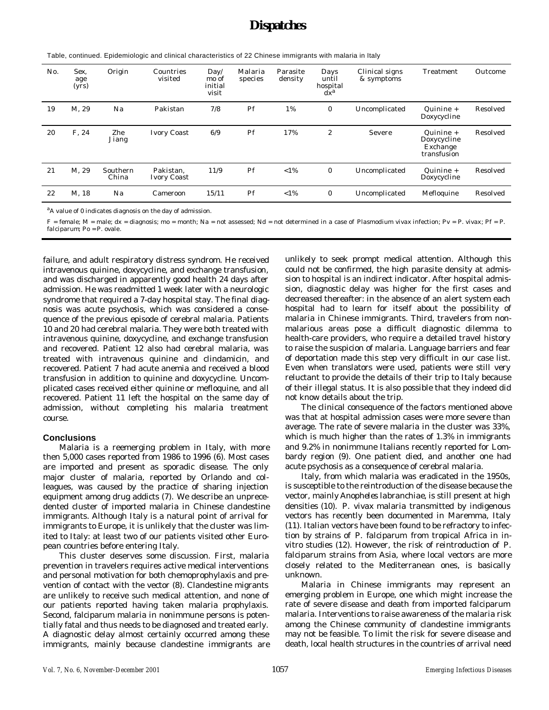| No. | Sex.<br>age<br>(yrs) | Origin            | Countries<br>visited     | Day/<br>mo of<br>initial<br>visit | Malaria<br>species | Parasite<br>density | Days<br>until<br>hospital<br>$dx^a$ | Clinical signs<br>& symptoms | Treatment                                           | Outcome  |
|-----|----------------------|-------------------|--------------------------|-----------------------------------|--------------------|---------------------|-------------------------------------|------------------------------|-----------------------------------------------------|----------|
| 19  | M. 29                | Na                | Pakistan                 | 7/8                               | Pf                 | 1%                  | $\overline{0}$                      | Uncomplicated                | Quinine +<br>Doxycycline                            | Resolved |
| 20  | F. 24                | Zhe<br>Jiang      | <b>Ivory Coast</b>       | 6/9                               | Pf                 | 17%                 | $\mathfrak{2}$                      | Severe                       | Quinine +<br>Doxycycline<br>Exchange<br>transfusion | Resolved |
| 21  | M. 29                | Southern<br>China | Pakistan.<br>Ivory Coast | 11/9                              | Pf                 | $< 1\%$             | $\overline{0}$                      | Uncomplicated                | Quinine +<br>Doxycycline                            | Resolved |
| 22  | M. 18                | Na                | Cameroon                 | 15/11                             | Pf                 | $< 1\%$             | $\overline{0}$                      | Uncomplicated                | Mefloquine                                          | Resolved |

Table, continued. Epidemiologic and clinical characteristics of 22 Chinese immigrants with malaria in Italy

<sup>a</sup>A value of 0 indicates diagnosis on the day of admission.

F = female; M = male; dx = diagnosis; mo = month; Na = not assessed; Nd = not determined in a case of *Plasmodium vivax* infection; Pv = *P. vivax*; Pf = *P. falciparum*; Po = *P. ovale* .

failure, and adult respiratory distress syndrom. He received intravenous quinine, doxycycline, and exchange transfusion, and was discharged in apparently good health 24 days after admission. He was readmitted 1 week later with a neurologic syndrome that required a 7-day hospital stay. The final diagnosis was acute psychosis, which was considered a consequence of the previous episode of cerebral malaria. Patients 10 and 20 had cerebral malaria. They were both treated with intravenous quinine, doxycycline, and exchange transfusion and recovered. Patient 12 also had cerebral malaria, was treated with intravenous quinine and clindamicin, and recovered. Patient 7 had acute anemia and received a blood transfusion in addition to quinine and doxycycline. Uncomplicated cases received either quinine or mefloquine, and all recovered. Patient 11 left the hospital on the same day of admission, without completing his malaria treatment course.

#### **Conclusions**

Malaria is a reemerging problem in Italy, with more then 5,000 cases reported from 1986 to 1996 (6). Most cases are imported and present as sporadic disease. The only major cluster of malaria, reported by Orlando and colleagues, was caused by the practice of sharing injection equipment among drug addicts (7). We describe an unprecedented cluster of imported malaria in Chinese clandestine immigrants. Although Italy is a natural point of arrival for immigrants to Europe, it is unlikely that the cluster was limited to Italy: at least two of our patients visited other European countries before entering Italy.

This cluster deserves some discussion. First, malaria prevention in travelers requires active medical interventions and personal motivation for both chemoprophylaxis and prevention of contact with the vector (8). Clandestine migrants are unlikely to receive such medical attention, and none of our patients reported having taken malaria prophylaxis. Second, falciparum malaria in nonimmune persons is potentially fatal and thus needs to be diagnosed and treated early. A diagnostic delay almost certainly occurred among these immigrants, mainly because clandestine immigrants are

unlikely to seek prompt medical attention. Although this could not be confirmed, the high parasite density at admission to hospital is an indirect indicator. After hospital admission, diagnostic delay was higher for the first cases and decreased thereafter: in the absence of an alert system each hospital had to learn for itself about the possibility of malaria in Chinese immigrants. Third, travelers from nonmalarious areas pose a difficult diagnostic dilemma to health-care providers, who require a detailed travel history to raise the suspicion of malaria. Language barriers and fear of deportation made this step very difficult in our case list. Even when translators were used, patients were still very reluctant to provide the details of their trip to Italy because of their illegal status. It is also possible that they indeed did not know details about the trip.

The clinical consequence of the factors mentioned above was that at hospital admission cases were more severe than average. The rate of severe malaria in the cluster was 33%, which is much higher than the rates of 1.3% in immigrants and 9.2% in nonimmune Italians recently reported for Lombardy region (9). One patient died, and another one had acute psychosis as a consequence of cerebral malaria.

Italy, from which malaria was eradicated in the 1950s, is susceptible to the reintroduction of the disease because the vector, mainly *Anopheles labranchiae*, is still present at high densities (10). *P. vivax* malaria transmitted by indigenous vectors has recently been documented in Maremma, Italy (11). Italian vectors have been found to be refractory to infection by strains of *P. falciparum* from tropical Africa in invitro studies (12). However, the risk of reintroduction of *P. falciparum* strains from Asia, where local vectors are more closely related to the Mediterranean ones, is basically unknown.

Malaria in Chinese immigrants may represent an emerging problem in Europe, one which might increase the rate of severe disease and death from imported falciparum malaria. Interventions to raise awareness of the malaria risk among the Chinese community of clandestine immigrants may not be feasible. To limit the risk for severe disease and death, local health structures in the countries of arrival need